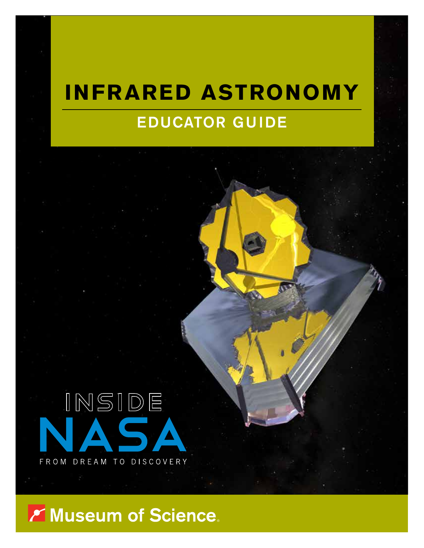# **INFRARED ASTRONOMY** EDUCATOR GUIDE



Y Museum of Science.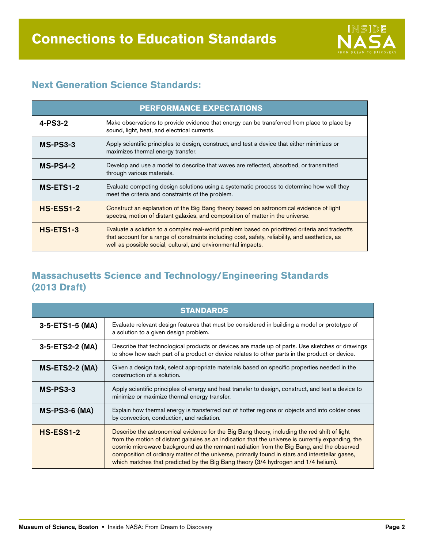

### **Next Generation Science Standards:**

| <b>PERFORMANCE EXPECTATIONS</b> |                                                                                                                                                                                                                                                                     |  |  |
|---------------------------------|---------------------------------------------------------------------------------------------------------------------------------------------------------------------------------------------------------------------------------------------------------------------|--|--|
| $4-PS3-2$                       | Make observations to provide evidence that energy can be transferred from place to place by<br>sound, light, heat, and electrical currents.                                                                                                                         |  |  |
| MS-PS3-3                        | Apply scientific principles to design, construct, and test a device that either minimizes or<br>maximizes thermal energy transfer.                                                                                                                                  |  |  |
| $MS-PS4-2$                      | Develop and use a model to describe that waves are reflected, absorbed, or transmitted<br>through various materials.                                                                                                                                                |  |  |
| MS-ETS1-2                       | Evaluate competing design solutions using a systematic process to determine how well they<br>meet the criteria and constraints of the problem.                                                                                                                      |  |  |
| $HS-ESS1-2$                     | Construct an explanation of the Big Bang theory based on astronomical evidence of light<br>spectra, motion of distant galaxies, and composition of matter in the universe.                                                                                          |  |  |
| HS-ETS1-3                       | Evaluate a solution to a complex real-world problem based on prioritized criteria and tradeoffs<br>that account for a range of constraints including cost, safety, reliability, and aesthetics, as<br>well as possible social, cultural, and environmental impacts. |  |  |

#### **Massachusetts Science and Technology/Engineering Standards (2013 Draft)**

| <b>STANDARDS</b>     |                                                                                                                                                                                                                                                                                                                                                                                                                                                                                          |  |
|----------------------|------------------------------------------------------------------------------------------------------------------------------------------------------------------------------------------------------------------------------------------------------------------------------------------------------------------------------------------------------------------------------------------------------------------------------------------------------------------------------------------|--|
| 3-5-ETS1-5 (MA)      | Evaluate relevant design features that must be considered in building a model or prototype of<br>a solution to a given design problem.                                                                                                                                                                                                                                                                                                                                                   |  |
| 3-5-ETS2-2 (MA)      | Describe that technological products or devices are made up of parts. Use sketches or drawings<br>to show how each part of a product or device relates to other parts in the product or device.                                                                                                                                                                                                                                                                                          |  |
| MS-ETS2-2 (MA)       | Given a design task, select appropriate materials based on specific properties needed in the<br>construction of a solution.                                                                                                                                                                                                                                                                                                                                                              |  |
| $MS-PS3-3$           | Apply scientific principles of energy and heat transfer to design, construct, and test a device to<br>minimize or maximize thermal energy transfer.                                                                                                                                                                                                                                                                                                                                      |  |
| <b>MS-PS3-6 (MA)</b> | Explain how thermal energy is transferred out of hotter regions or objects and into colder ones<br>by convection, conduction, and radiation.                                                                                                                                                                                                                                                                                                                                             |  |
| <b>HS-ESS1-2</b>     | Describe the astronomical evidence for the Big Bang theory, including the red shift of light<br>from the motion of distant galaxies as an indication that the universe is currently expanding, the<br>cosmic microwave background as the remnant radiation from the Big Bang, and the observed<br>composition of ordinary matter of the universe, primarily found in stars and interstellar gases,<br>which matches that predicted by the Big Bang theory (3/4 hydrogen and 1/4 helium). |  |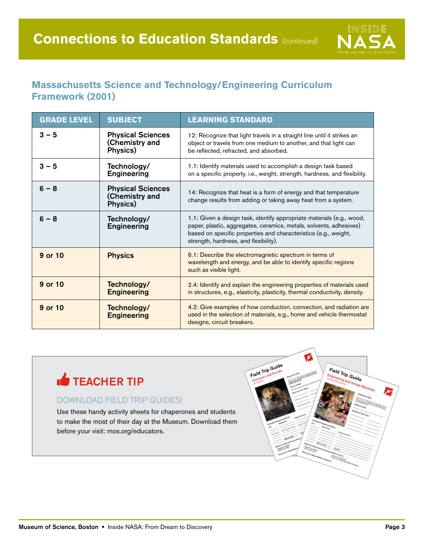

### **Massachusetts Science and Technology/Engineering Curriculum Framework (2001)**

| <b>GRADE LEVEL</b> | <b>SUBJECT</b>                                         | <b>LEARNING STANDARD</b>                                                                                                                                                                                                                                |
|--------------------|--------------------------------------------------------|---------------------------------------------------------------------------------------------------------------------------------------------------------------------------------------------------------------------------------------------------------|
| $3 - 5$            | <b>Physical Sciences</b><br>(Chemistry and<br>Physics) | 12: Recognize that light travels in a straight line until it strikes an<br>object or travels from one medium to another, and that light can<br>be reflected, refracted, and absorbed.                                                                   |
| $3 - 5$            | Technology/<br><b>Engineering</b>                      | 1.1: Identify materials used to accomplish a design task based<br>on a specific property, i.e., weight, strength, hardness, and flexibility.                                                                                                            |
| $6 - 8$            | <b>Physical Sciences</b><br>(Chemistry and<br>Physics) | 14: Recognize that heat is a form of energy and that temperature<br>change results from adding or taking away heat from a system.                                                                                                                       |
| $6 - 8$            | Technology/<br><b>Engineering</b>                      | 1.1: Given a design task, identify appropriate materials (e.g., wood,<br>paper, plastic, aggregates, ceramics, metals, solvents, adhesives)<br>based on specific properties and characteristics (e.g., weight,<br>strength, hardness, and flexibility). |
| 9 or 10            | <b>Physics</b>                                         | 6.1: Describe the electromagnetic spectrum in terms of<br>wavelength and energy, and be able to identify specific regions<br>such as visible light.                                                                                                     |
| 9 or 10            | Technology/<br><b>Engineering</b>                      | 2.4: Identify and explain the engineering properties of materials used<br>in structures, e.g., elasticity, plasticity, thermal conductivity, density.                                                                                                   |
| 9 or 10            | Technology/<br><b>Engineering</b>                      | 4.2: Give examples of how conduction, convection, and radiation are<br>used in the selection of materials, e.g., home and vehicle thermostat<br>designs, circuit breakers.                                                                              |



#### DOWNLOAD FIELD TRIP GUIDES!

Use these handy activity sheets for chaperones and students to make the most of their day at the Museum. Download them before your visit: mos.org/educators.

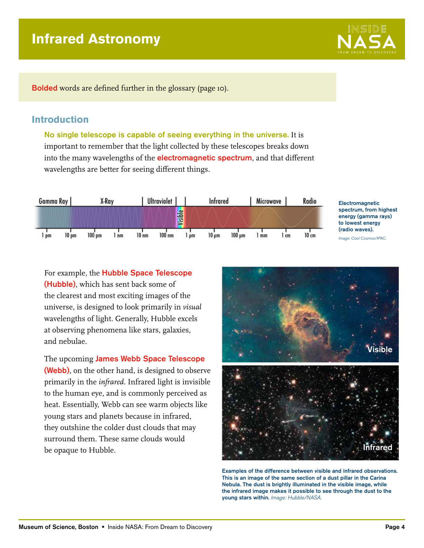## **Infrared Astronomy**

X-Ray

 $1 \text{ nm}$ 

 $100$  pm

Bolded words are defined further in the glossary (page 10).

#### **Introduction**

Gamma Ray

 $10 \text{ pm}$ 

 $lim$ 

and nebulae.

No single telescope is capable of seeing everything in the universe. It is important to remember that the light collected by these telescopes breaks down into the many wavelengths of the **electromagnetic spectrum**, and that different wavelengths are better for seeing different things.

Visible

 $\frac{1}{2}$ 

**Infrared** 

 $10 \text{ µm}$ 

 $100 \text{ µm}$ 

Microwave

 $1 \text{ cm}$ 

 $\frac{1}{2}$ 

Ultraviolet |

 $100$ <sub>nm</sub>



 $10<sub>nm</sub>$ 

The upcoming **James Webb Space Telescope** (Webb), on the other hand, is designed to observe primarily in the *infrared*. Infrared light is invisible to the human eye, and is commonly perceived as heat. Essentially, Webb can see warm objects like young stars and planets because in infrared, they outshine the colder dust clouds that may surround them. These same clouds would be opaque to Hubble.

This is an image of the same section of a dust pillar in the Carina Nebula. The dust is brightly illuminated in the visible image, while the infrared image makes it possible to see through the dust to the young stars within. Image: Hubble/NASA.





Radio

 $10$  cm





**Electromagnetic** spectrum, from highest energy (gamma rays) to lowest energy (radio waves).

Image: Cool Cosmos/IPAC.

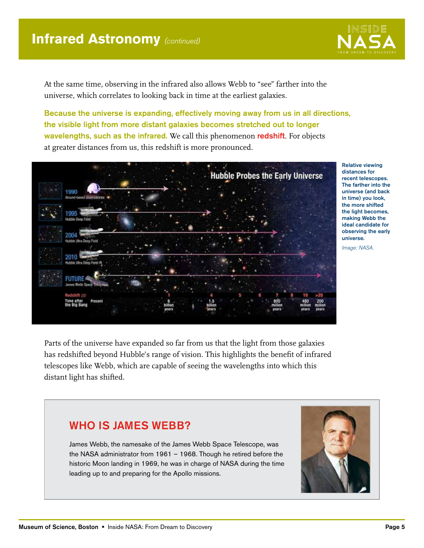

At the same time, observing in the infrared also allows Webb to "see" farther into the universe, which correlates to looking back in time at the earliest galaxies.

Because the universe is expanding, effectively moving away from us in all directions, the visible light from more distant galaxies becomes stretched out to longer wavelengths, such as the infrared. We call this phenomenon redshift. For objects at greater distances from us, this redshift is more pronounced.



Relative viewing distances for recent telescopes. The farther into the universe (and back in time) you look, the more shifted the light becomes, making Webb the ideal candidate for observing the early universe.

Image: NASA.

Parts of the universe have expanded so far from us that the light from those galaxies has redshifted beyond Hubble's range of vision. This highlights the benefit of infrared telescopes like Webb, which are capable of seeing the wavelengths into which this distant light has shifted.

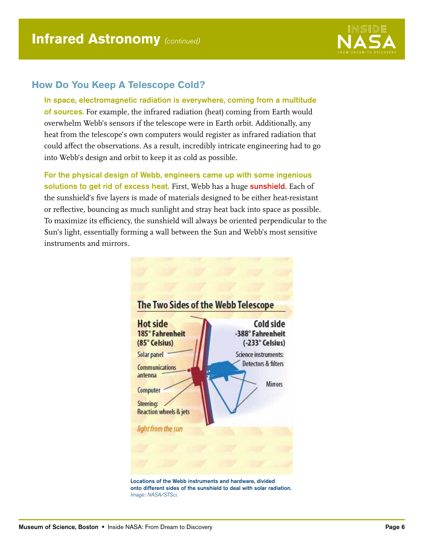

#### **How Do You Keep A Telescope Cold?**

In space, electromagnetic radiation is everywhere, coming from a multitude of sources. For example, the infrared radiation (heat) coming from Earth would overwhelm Webb's sensors if the telescope were in Earth orbit. Additionally, any heat from the telescope's own computers would register as infrared radiation that could affect the observations. As a result, incredibly intricate engineering had to go into Webb's design and orbit to keep it as cold as possible.

For the physical design of Webb, engineers came up with some ingenious solutions to get rid of excess heat. First, Webb has a huge sunshield. Each of the sunshield's five layers is made of materials designed to be either heat-resistant or reflective, bouncing as much sunlight and stray heat back into space as possible. To maximize its efficiency, the sunshield will always be oriented perpendicular to the Sun's light, essentially forming a wall between the Sun and Webb's most sensitive instruments and mirrors.



Locations of the Webb instruments and hardware, divided onto different sides of the sunshield to deal with solar radiation. Image: NASA/STSci.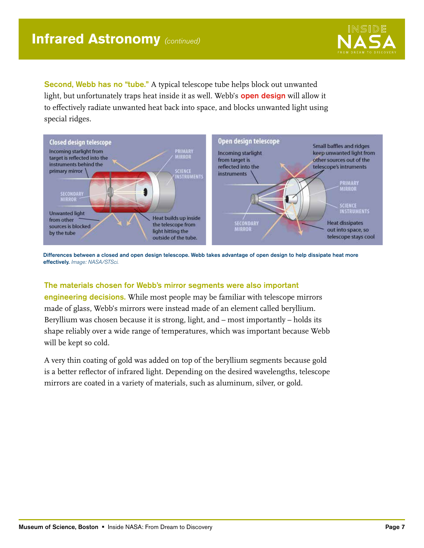

Second, Webb has no "tube." A typical telescope tube helps block out unwanted light, but unfortunately traps heat inside it as well. Webb's **open design** will allow it to effectively radiate unwanted heat back into space, and blocks unwanted light using special ridges.



Differences between a closed and open design telescope. Webb takes advantage of open design to help dissipate heat more effectively. Image: NASA/STSci.

#### The materials chosen for Webb's mirror segments were also important

engineering decisions. While most people may be familiar with telescope mirrors made of glass, Webb's mirrors were instead made of an element called beryllium. Beryllium was chosen because it is strong, light, and – most importantly – holds its shape reliably over a wide range of temperatures, which was important because Webb will be kept so cold.

A very thin coating of gold was added on top of the beryllium segments because gold is a better reflector of infrared light. Depending on the desired wavelengths, telescope mirrors are coated in a variety of materials, such as aluminum, silver, or gold.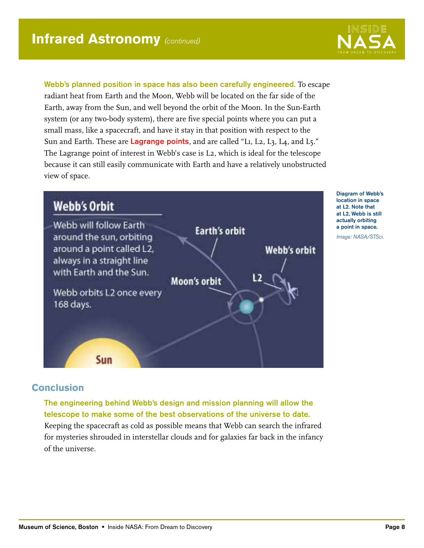

Webb's planned position in space has also been carefully engineered. To escape radiant heat from Earth and the Moon, Webb will be located on the far side of the Earth, away from the Sun, and well beyond the orbit of the Moon. In the Sun-Earth system (or any two-body system), there are five special points where you can put a small mass, like a spacecraft, and have it stay in that position with respect to the Sun and Earth. These are Lagrange points, and are called "L1, L2, L3, L4, and L5." The Lagrange point of interest in Webb's case is L2, which is ideal for the telescope because it can still easily communicate with Earth and have a relatively unobstructed view of space.



Diagram of Webb's location in space at L2. Note that at L2, Webb is still actually orbiting a point in space. Image: NASA/STSci.

#### **Conclusion**

The engineering behind Webb's design and mission planning will allow the telescope to make some of the best observations of the universe to date.

Keeping the spacecraft as cold as possible means that Webb can search the infrared for mysteries shrouded in interstellar clouds and for galaxies far back in the infancy of the universe.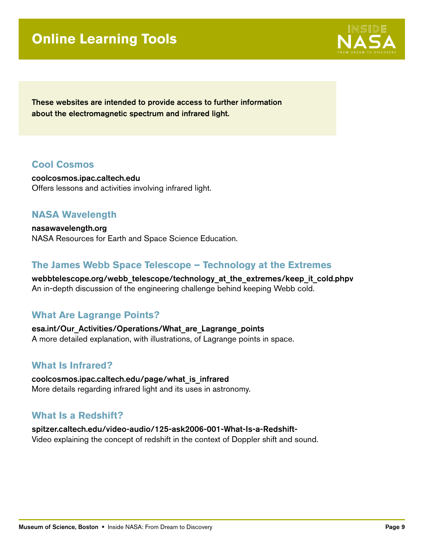## **Online Learning Tools**



These websites are intended to provide access to further information about the electromagnetic spectrum and infrared light.

#### **Cool Cosmos**

<coolcosmos.ipac.caltech.edu> Offers lessons and activities involving infrared light.

#### **NASA Wavelength**

[nasawavelength.org](www.nasawavelength.org) NASA Resources for Earth and Space Science Education.

#### **The James Webb Space Telescope – Technology at the Extremes**

[webbtelescope.org/webb\\_telescope/technology\\_at\\_the\\_extremes/keep\\_it\\_cold.phpv](www.webbtelescope.org/webb_telescope/technology_at_the_extremes/keep_it_cold.phpv) An in-depth discussion of the engineering challenge behind keeping Webb cold.

#### **What Are Lagrange Points?**

[esa.int/Our\\_Activities/Operations/What\\_are\\_Lagrange\\_points](www.esa.int/Our_Activities/Operations/What_are_Lagrange_points) A more detailed explanation, with illustrations, of Lagrange points in space.

#### **What Is Infrared?**

[coolcosmos.ipac.caltech.edu/page/what\\_is\\_infrared](coolcosmos.ipac.caltech.edu/page/what_is_infrared) More details regarding infrared light and its uses in astronomy.

#### **What Is a Redshift?**

[spitzer.caltech.edu/video-audio/125-ask2006-001-What-Is-a-Redshift-](www.spitzer.caltech.edu/video-audio/125-ask2006-001-What-Is-a-Redshift-)Video explaining the concept of redshift in the context of Doppler shift and sound.